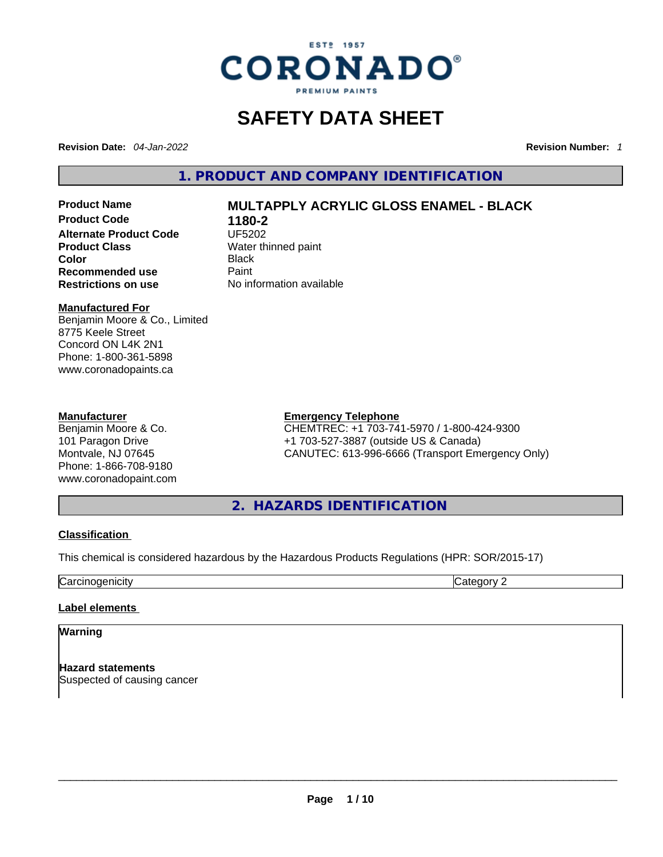

# **SAFETY DATA SHEET**

**Revision Date:** *04-Jan-2022* **Revision Number:** *1*

**1. PRODUCT AND COMPANY IDENTIFICATION** 

**Product Code 1180-2 Alternate Product Code CODE UF5202 Product Class Water thinned paint**<br> **Color** Black **Color** Black **Recommended use Faint Paint<br>
<b>Restrictions on use** Mo information available **Restrictions** on use

# **Product Name MULTAPPLY ACRYLIC GLOSS ENAMEL - BLACK**

### **Manufactured For**

Benjamin Moore & Co., Limited 8775 Keele Street Concord ON L4K 2N1 Phone: 1-800-361-5898 www.coronadopaints.ca

### **Manufacturer**

Benjamin Moore & Co. 101 Paragon Drive Montvale, NJ 07645 Phone: 1-866-708-9180 www.coronadopaint.com

### **Emergency Telephone**

CHEMTREC: +1 703-741-5970 / 1-800-424-9300 +1 703-527-3887 (outside US & Canada) CANUTEC: 613-996-6666 (Transport Emergency Only)

**2. HAZARDS IDENTIFICATION** 

### **Classification**

This chemical is considered hazardous by the Hazardous Products Regulations (HPR: SOR/2015-17)

**Carcinogenicity** Category 2

### **Label elements**

**Warning** 

**Hazard statements** Suspected of causing cancer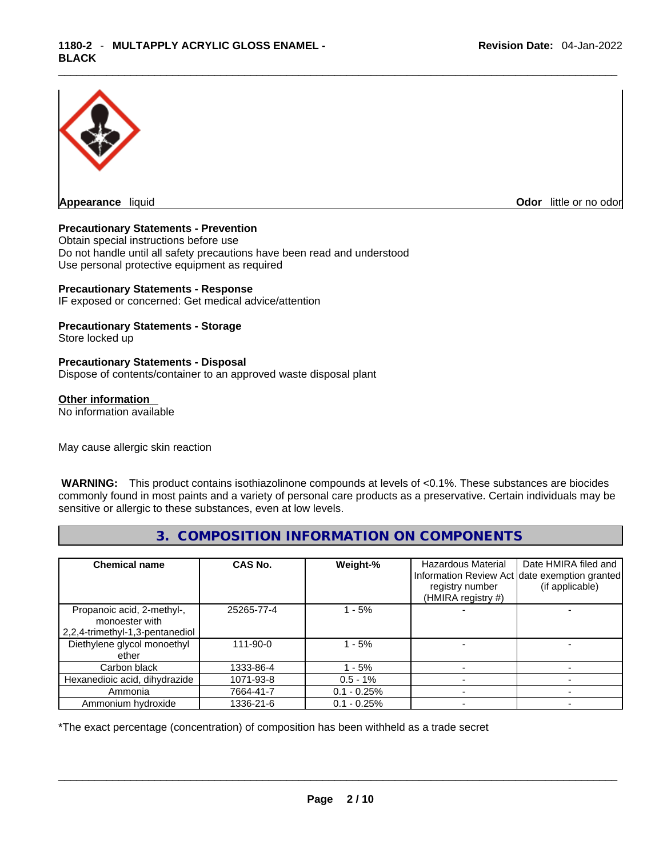

**Appearance** liquid **Odor 11** and **Odor 11** and **Odor 11** and **Odor 11** and **Odor 11** and **Odor** 11 and **Odor** 11 and **Odor** 11 and **Odor** 11 and **Odor** 11 and **Odor** 11 and **Odor** 11 and **Odor** 11 and **Odor** 11 and **Odor** 

### **Precautionary Statements - Prevention**

Obtain special instructions before use Do not handle until all safety precautions have been read and understood Use personal protective equipment as required

### **Precautionary Statements - Response**

IF exposed or concerned: Get medical advice/attention

# **Precautionary Statements - Storage**

Store locked up

### **Precautionary Statements - Disposal**

Dispose of contents/container to an approved waste disposal plant

### **Other information**

No information available

May cause allergic skin reaction

 **WARNING:** This product contains isothiazolinone compounds at levels of <0.1%. These substances are biocides commonly found in most paints and a variety of personal care products as a preservative. Certain individuals may be sensitive or allergic to these substances, even at low levels.

# **3. COMPOSITION INFORMATION ON COMPONENTS**

| <b>Chemical name</b>                                                            | CAS No.        | Weight-%      | Hazardous Material<br>registry number<br>(HMIRA registry #) | Date HMIRA filed and<br>Information Review Act date exemption granted<br>(if applicable) |
|---------------------------------------------------------------------------------|----------------|---------------|-------------------------------------------------------------|------------------------------------------------------------------------------------------|
| Propanoic acid, 2-methyl-,<br>monoester with<br>2,2,4-trimethyl-1,3-pentanediol | 25265-77-4     | $-5%$         |                                                             |                                                                                          |
| Diethylene glycol monoethyl<br>ether                                            | $111 - 90 - 0$ | $-5%$         |                                                             |                                                                                          |
| Carbon black                                                                    | 1333-86-4      | - 5%          |                                                             |                                                                                          |
| Hexanedioic acid, dihydrazide                                                   | 1071-93-8      | $0.5 - 1\%$   |                                                             |                                                                                          |
| Ammonia                                                                         | 7664-41-7      | $0.1 - 0.25%$ |                                                             |                                                                                          |
| Ammonium hydroxide                                                              | 1336-21-6      | $0.1 - 0.25%$ |                                                             |                                                                                          |

\*The exact percentage (concentration) of composition has been withheld as a trade secret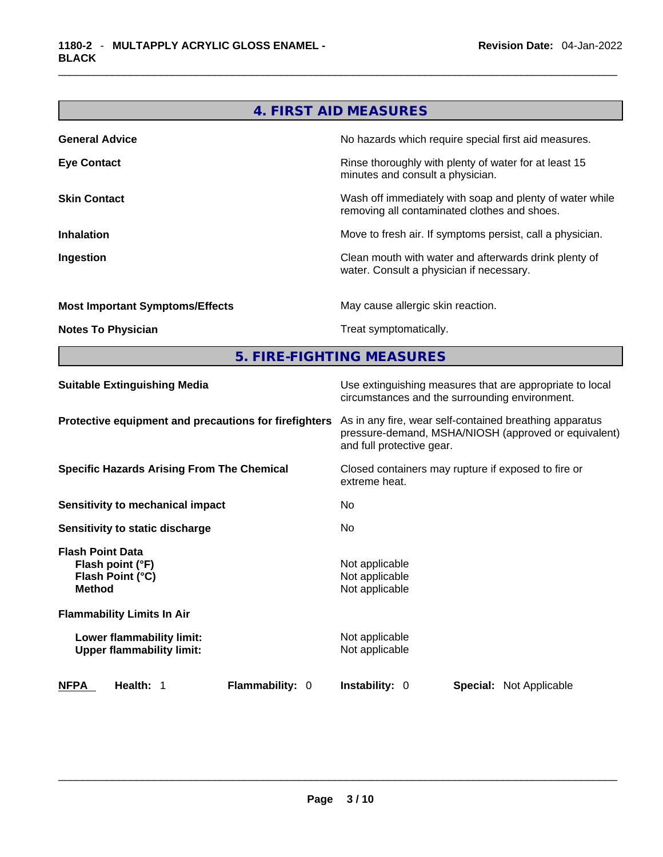# **4. FIRST AID MEASURES**

| <b>General Advice</b>                  | No hazards which require special first aid measures.                                                     |
|----------------------------------------|----------------------------------------------------------------------------------------------------------|
| <b>Eye Contact</b>                     | Rinse thoroughly with plenty of water for at least 15<br>minutes and consult a physician.                |
| <b>Skin Contact</b>                    | Wash off immediately with soap and plenty of water while<br>removing all contaminated clothes and shoes. |
| <b>Inhalation</b>                      | Move to fresh air. If symptoms persist, call a physician.                                                |
| Ingestion                              | Clean mouth with water and afterwards drink plenty of<br>water. Consult a physician if necessary.        |
| <b>Most Important Symptoms/Effects</b> | May cause allergic skin reaction.                                                                        |
| <b>Notes To Physician</b>              | Treat symptomatically.                                                                                   |
|                                        |                                                                                                          |

**5. FIRE-FIGHTING MEASURES** 

| <b>Suitable Extinguishing Media</b>                                              | Use extinguishing measures that are appropriate to local<br>circumstances and the surrounding environment.                                   |  |  |
|----------------------------------------------------------------------------------|----------------------------------------------------------------------------------------------------------------------------------------------|--|--|
| Protective equipment and precautions for firefighters                            | As in any fire, wear self-contained breathing apparatus<br>pressure-demand, MSHA/NIOSH (approved or equivalent)<br>and full protective gear. |  |  |
| <b>Specific Hazards Arising From The Chemical</b>                                | Closed containers may rupture if exposed to fire or<br>extreme heat.                                                                         |  |  |
| <b>Sensitivity to mechanical impact</b>                                          | No.                                                                                                                                          |  |  |
| Sensitivity to static discharge                                                  | No.                                                                                                                                          |  |  |
| <b>Flash Point Data</b><br>Flash point (°F)<br>Flash Point (°C)<br><b>Method</b> | Not applicable<br>Not applicable<br>Not applicable                                                                                           |  |  |
| <b>Flammability Limits In Air</b>                                                |                                                                                                                                              |  |  |
| Lower flammability limit:<br><b>Upper flammability limit:</b>                    | Not applicable<br>Not applicable                                                                                                             |  |  |
| Flammability: 0<br><b>NFPA</b><br>Health: 1                                      | <b>Instability: 0</b><br><b>Special:</b> Not Applicable                                                                                      |  |  |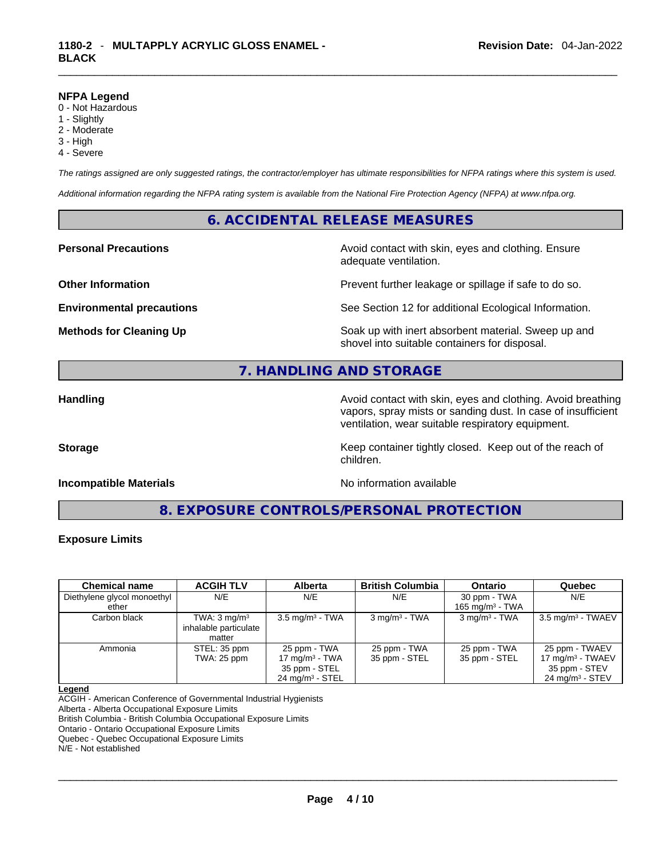### **NFPA Legend**

- 0 Not Hazardous
- 1 Slightly
- 2 Moderate
- 3 High
- 4 Severe

*The ratings assigned are only suggested ratings, the contractor/employer has ultimate responsibilities for NFPA ratings where this system is used.* 

*Additional information regarding the NFPA rating system is available from the National Fire Protection Agency (NFPA) at www.nfpa.org.* 

## **6. ACCIDENTAL RELEASE MEASURES**

**Personal Precautions Avoid contact with skin, eyes and clothing. Ensure Personal Precautions** adequate ventilation.

**Other Information Discription Prevent further leakage or spillage if safe to do so.** 

**Environmental precautions** See Section 12 for additional Ecological Information.

**Methods for Cleaning Up Example 20 Soak** up with inert absorbent material. Sweep up and shovel into suitable containers for disposal.

# **7. HANDLING AND STORAGE**

**Handling Handling Avoid contact with skin, eyes and clothing. Avoid breathing** vapors, spray mists or sanding dust. In case of insufficient ventilation, wear suitable respiratory equipment.

**Storage Keep container tightly closed. Keep out of the reach of Keep** container tightly closed. Keep out of the reach of

**Incompatible Materials No information available No** information available

**8. EXPOSURE CONTROLS/PERSONAL PROTECTION** 

children.

### **Exposure Limits**

| <b>Chemical name</b>        | <b>ACGIH TLV</b>                                           | <b>Alberta</b>                                                                   | <b>British Columbia</b>       | <b>Ontario</b>                | Quebec                                                                               |
|-----------------------------|------------------------------------------------------------|----------------------------------------------------------------------------------|-------------------------------|-------------------------------|--------------------------------------------------------------------------------------|
| Diethylene glycol monoethyl | N/E                                                        | N/E                                                                              | N/E                           | 30 ppm - TWA                  | N/E                                                                                  |
| ether                       |                                                            |                                                                                  |                               | 165 mg/m $3$ - TWA            |                                                                                      |
| Carbon black                | TWA: $3 \text{ mg/m}^3$<br>inhalable particulate<br>matter | $3.5 \text{ mg/m}^3$ - TWA                                                       | $3 \text{ mg/m}^3$ - TWA      | $3$ mg/m <sup>3</sup> - TWA   | $3.5 \text{ mg/m}^3$ - TWAEV                                                         |
| Ammonia                     | STEL: 35 ppm<br>TWA: 25 ppm                                | 25 ppm - TWA<br>17 mg/m $3$ - TWA<br>35 ppm - STEL<br>$24 \text{ mg/m}^3$ - STEL | 25 ppm - TWA<br>35 ppm - STEL | 25 ppm - TWA<br>35 ppm - STEL | 25 ppm - TWAEV<br>17 mg/m $3$ - TWAEV<br>35 ppm - STEV<br>$24 \text{ mg/m}^3$ - STEV |

### **Legend**

ACGIH - American Conference of Governmental Industrial Hygienists

Alberta - Alberta Occupational Exposure Limits

British Columbia - British Columbia Occupational Exposure Limits

Ontario - Ontario Occupational Exposure Limits

Quebec - Quebec Occupational Exposure Limits

N/E - Not established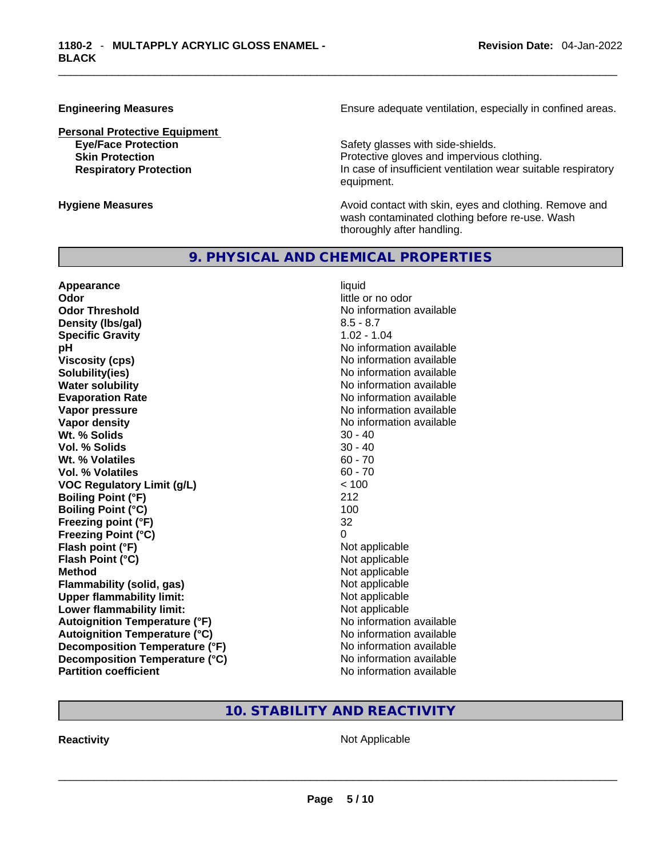**Personal Protective Equipment**

**Engineering Measures Ensure** Ensure adequate ventilation, especially in confined areas.

**Eve/Face Protection Safety glasses with side-shields. Skin Protection Protection Protective gloves and impervious clothing. Respiratory Protection In case of insufficient ventilation wear suitable respiratory** equipment.

**Hygiene Measures Avoid contact with skin, eyes and clothing. Remove and Avoid contact with skin, eyes and clothing. Remove and Avoid contact with skin, eyes and clothing. Remove and** wash contaminated clothing before re-use. Wash thoroughly after handling.

## **9. PHYSICAL AND CHEMICAL PROPERTIES**

**Appearance** liquid **Odor Odor Odor Odor Odor** *little or no odor little or no odor* **Odor Threshold No information available No information available Density (Ibs/gal)** 8.5 - 8.7<br> **Specific Gravity** 8.5 - 8.7 **Specific Gravity pH DH Note that the state of the state of the state of the state of the state of the state of the state of the state of the state of the state of the state of the state of the state of the state of the state of the st Viscosity (cps) Viscosity (cps) No information available Solubility(ies)** No information available **Water solubility No information available No information available Evaporation Rate No information available No information available Vapor pressure No information available Vapor density**<br> **We Solids**<br>
We Solids
20 - 40 **Wt. % Solids** 30 - 40 **Vol. % Solids Wt. % Volatiles** 60 - 70 **Vol. % Volatiles** 60 - 70 **VOC Regulatory Limit (g/L)** < 100 **Boiling Point (°F)** 212 **Boiling Point (°C)** 100 **Freezing point (°F)** 32 **Freezing Point (°C)** 0 **Flash point (°F)**<br> **Flash Point (°C)**<br> **Flash Point (°C)**<br> **Not** applicable **Flash Point (°C) Method** Not applicable **Flammability (solid, gas)** Not applicable<br> **Upper flammability limit:** Not applicable **Upper flammability limit: Lower flammability limit:** Not applicable **Autoignition Temperature (°F)** No information available **Autoignition Temperature (°C)** No information available **Decomposition Temperature (°F)** No information available **Decomposition Temperature (°C)** No information available **Partition coefficient** No information available

# **10. STABILITY AND REACTIVITY**

**Reactivity** Not Applicable \_\_\_\_\_\_\_\_\_\_\_\_\_\_\_\_\_\_\_\_\_\_\_\_\_\_\_\_\_\_\_\_\_\_\_\_\_\_\_\_\_\_\_\_\_\_\_\_\_\_\_\_\_\_\_\_\_\_\_\_\_\_\_\_\_\_\_\_\_\_\_\_\_\_\_\_\_\_\_\_\_\_\_\_\_\_\_\_\_\_\_\_\_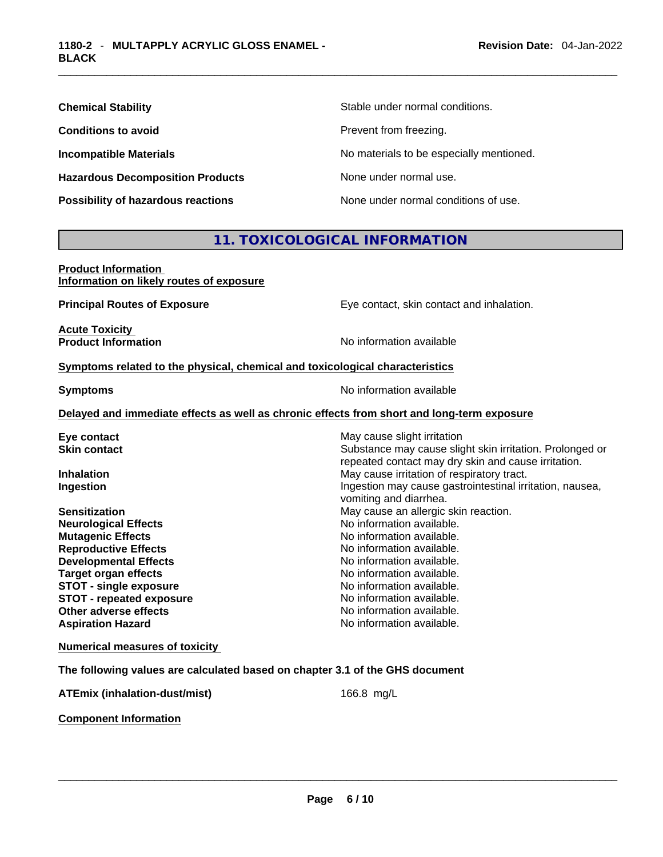| <b>Chemical Stability</b>               | Stable under normal conditions.          |
|-----------------------------------------|------------------------------------------|
| <b>Conditions to avoid</b>              | Prevent from freezing.                   |
| <b>Incompatible Materials</b>           | No materials to be especially mentioned. |
| <b>Hazardous Decomposition Products</b> | None under normal use.                   |
| Possibility of hazardous reactions      | None under normal conditions of use.     |

# **11. TOXICOLOGICAL INFORMATION**

| <b>Product Information</b>               |  |
|------------------------------------------|--|
| Information on likely routes of exposure |  |

**Principal Routes of Exposure** Eye contact, skin contact and inhalation.

**Acute Toxicity<br>Product Information** 

**No information available** 

### **<u>Symptoms related to the physical, chemical and toxicological characteristics</u>**

**Symptoms Symptoms No information available** 

### **Delayed and immediate effects as well as chronic effects from short and long-term exposure**

| Eye contact                     | May cause slight irritation                                                                                     |
|---------------------------------|-----------------------------------------------------------------------------------------------------------------|
| <b>Skin contact</b>             | Substance may cause slight skin irritation. Prolonged or<br>repeated contact may dry skin and cause irritation. |
| <b>Inhalation</b>               | May cause irritation of respiratory tract.                                                                      |
| Ingestion                       | Ingestion may cause gastrointestinal irritation, nausea,<br>vomiting and diarrhea.                              |
| <b>Sensitization</b>            | May cause an allergic skin reaction.                                                                            |
| <b>Neurological Effects</b>     | No information available.                                                                                       |
| <b>Mutagenic Effects</b>        | No information available.                                                                                       |
| <b>Reproductive Effects</b>     | No information available.                                                                                       |
| <b>Developmental Effects</b>    | No information available.                                                                                       |
| <b>Target organ effects</b>     | No information available.                                                                                       |
| <b>STOT - single exposure</b>   | No information available.                                                                                       |
| <b>STOT - repeated exposure</b> | No information available.                                                                                       |
| Other adverse effects           | No information available.                                                                                       |
| <b>Aspiration Hazard</b>        | No information available.                                                                                       |
|                                 |                                                                                                                 |

**Numerical measures of toxicity**

**The following values are calculated based on chapter 3.1 of the GHS document**

**ATEmix (inhalation-dust/mist)** 166.8 mg/L

**Component Information**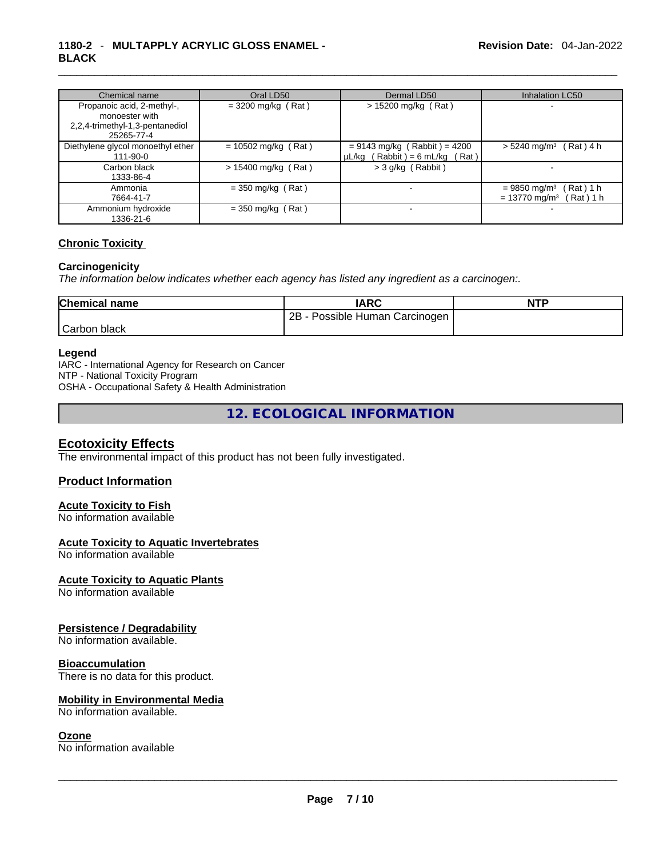# \_\_\_\_\_\_\_\_\_\_\_\_\_\_\_\_\_\_\_\_\_\_\_\_\_\_\_\_\_\_\_\_\_\_\_\_\_\_\_\_\_\_\_\_\_\_\_\_\_\_\_\_\_\_\_\_\_\_\_\_\_\_\_\_\_\_\_\_\_\_\_\_\_\_\_\_\_\_\_\_\_\_\_\_\_\_\_\_\_\_\_\_\_ **1180-2** - **MULTAPPLY ACRYLIC GLOSS ENAMEL - BLACK**

| Chemical name                                                                                 | Oral LD50             | Dermal LD50                                                           | <b>Inhalation LC50</b>                                                             |
|-----------------------------------------------------------------------------------------------|-----------------------|-----------------------------------------------------------------------|------------------------------------------------------------------------------------|
| Propanoic acid, 2-methyl-,<br>monoester with<br>2,2,4-trimethyl-1,3-pentanediol<br>25265-77-4 | $=$ 3200 mg/kg (Rat)  | $> 15200$ mg/kg (Rat)                                                 |                                                                                    |
| Diethylene glycol monoethyl ether<br>$111 - 90 - 0$                                           | $= 10502$ mg/kg (Rat) | $= 9143$ mg/kg (Rabbit) = 4200<br>$\mu L/kg$ (Rabbit) = 6 mL/kg (Rat) | $> 5240$ mg/m <sup>3</sup> (Rat) 4 h                                               |
| Carbon black<br>1333-86-4                                                                     | $> 15400$ mg/kg (Rat) | $>$ 3 g/kg (Rabbit)                                                   |                                                                                    |
| Ammonia<br>7664-41-7                                                                          | $=$ 350 mg/kg (Rat)   |                                                                       | (Rat)1 h<br>$= 9850$ mg/m <sup>3</sup><br>$= 13770$ mg/m <sup>3</sup><br>Rat ) 1 h |
| Ammonium hydroxide<br>1336-21-6                                                               | $=$ 350 mg/kg (Rat)   |                                                                       |                                                                                    |

## **Chronic Toxicity**

### **Carcinogenicity**

*The information below indicates whether each agency has listed any ingredient as a carcinogen:.* 

| <b>Chemical name</b> | IARC                            | <b>NTP</b> |
|----------------------|---------------------------------|------------|
|                      | Possible Human Carcinogen<br>2B |            |
| Carbon black         |                                 |            |

### **Legend**

IARC - International Agency for Research on Cancer NTP - National Toxicity Program OSHA - Occupational Safety & Health Administration

**12. ECOLOGICAL INFORMATION** 

### **Ecotoxicity Effects**

The environmental impact of this product has not been fully investigated.

### **Product Information**

### **Acute Toxicity to Fish**

No information available

### **Acute Toxicity to Aquatic Invertebrates**

No information available

### **Acute Toxicity to Aquatic Plants**

No information available

### **Persistence / Degradability**

No information available.

### **Bioaccumulation**

There is no data for this product.

### **Mobility in Environmental Media**

### **Ozone**

No information available. \_\_\_\_\_\_\_\_\_\_\_\_\_\_\_\_\_\_\_\_\_\_\_\_\_\_\_\_\_\_\_\_\_\_\_\_\_\_\_\_\_\_\_\_\_\_\_\_\_\_\_\_\_\_\_\_\_\_\_\_\_\_\_\_\_\_\_\_\_\_\_\_\_\_\_\_\_\_\_\_\_\_\_\_\_\_\_\_\_\_\_\_\_ No information available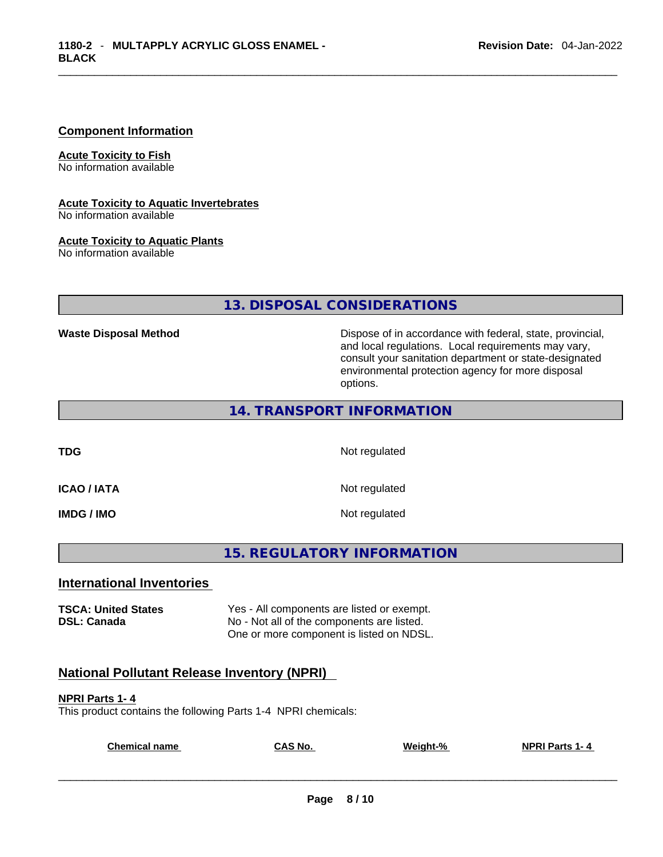### **Component Information**

**Acute Toxicity to Fish** No information available

**Acute Toxicity to Aquatic Invertebrates**

No information available

### **Acute Toxicity to Aquatic Plants**

No information available

# **13. DISPOSAL CONSIDERATIONS**

**Waste Disposal Method** Dispose of in accordance with federal, state, provincial, and local regulations. Local requirements may vary, consult your sanitation department or state-designated environmental protection agency for more disposal options.

## **14. TRANSPORT INFORMATION**

**TDG** Not regulated

**ICAO / IATA** Not regulated

**IMDG / IMO** Not regulated

# **15. REGULATORY INFORMATION**

### **International Inventories**

**TSCA: United States** Yes - All components are listed or exempt.<br> **DSL: Canada** Wo - Not all of the components are listed. No - Not all of the components are listed. One or more component is listed on NDSL.

# **National Pollutant Release Inventory (NPRI)**

### **NPRI Parts 1- 4**

This product contains the following Parts 1-4 NPRI chemicals:

| <b>Chemical name</b> | $\mathsf{A}$ S No. | Weight-% | <b>NPRI Parts 1-4</b> |
|----------------------|--------------------|----------|-----------------------|
|                      |                    |          |                       |
|                      |                    |          |                       |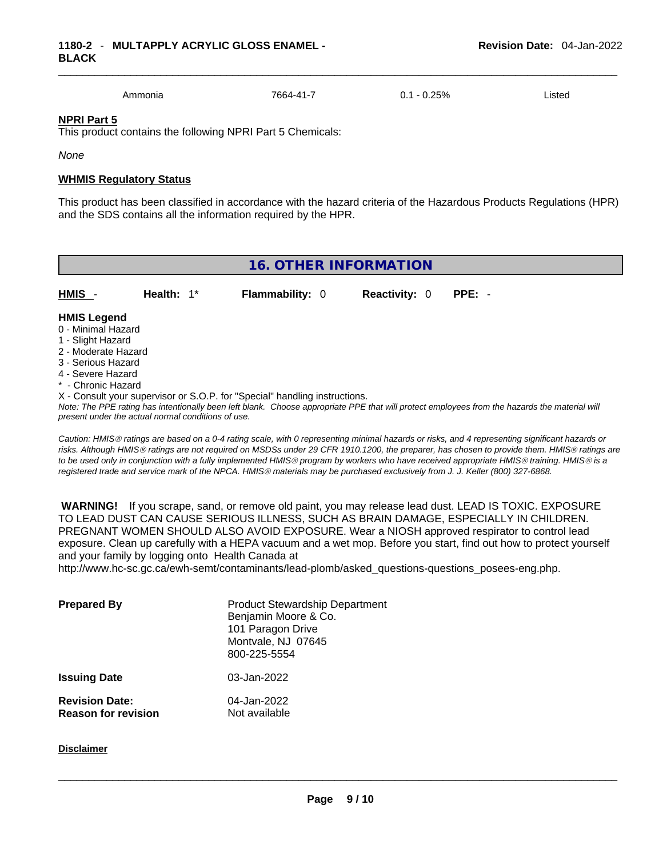Ammonia 7664-41-7 0.1 - 0.25% Listed

### **NPRI Part 5**

This product contains the following NPRI Part 5 Chemicals:

*None*

### **WHMIS Regulatory Status**

This product has been classified in accordance with the hazard criteria of the Hazardous Products Regulations (HPR) and the SDS contains all the information required by the HPR.

| 16. OTHER INFORMATION                                                                                                                                                                                       |               |                                                                            |                      |                                                                                                                                               |
|-------------------------------------------------------------------------------------------------------------------------------------------------------------------------------------------------------------|---------------|----------------------------------------------------------------------------|----------------------|-----------------------------------------------------------------------------------------------------------------------------------------------|
| <b>HMIS</b>                                                                                                                                                                                                 | Health: $1^*$ | <b>Flammability: 0</b>                                                     | <b>Reactivity: 0</b> | $PPE: -$                                                                                                                                      |
| <b>HMIS Legend</b><br>0 - Minimal Hazard<br>1 - Slight Hazard<br>2 - Moderate Hazard<br>3 - Serious Hazard<br>4 - Severe Hazard<br>* - Chronic Hazard<br>present under the actual normal conditions of use. |               | X - Consult your supervisor or S.O.P. for "Special" handling instructions. |                      | Note: The PPE rating has intentionally been left blank. Choose appropriate PPE that will protect employees from the hazards the material will |

*Caution: HMISÒ ratings are based on a 0-4 rating scale, with 0 representing minimal hazards or risks, and 4 representing significant hazards or risks. Although HMISÒ ratings are not required on MSDSs under 29 CFR 1910.1200, the preparer, has chosen to provide them. HMISÒ ratings are to be used only in conjunction with a fully implemented HMISÒ program by workers who have received appropriate HMISÒ training. HMISÒ is a registered trade and service mark of the NPCA. HMISÒ materials may be purchased exclusively from J. J. Keller (800) 327-6868.* 

 **WARNING!** If you scrape, sand, or remove old paint, you may release lead dust. LEAD IS TOXIC. EXPOSURE TO LEAD DUST CAN CAUSE SERIOUS ILLNESS, SUCH AS BRAIN DAMAGE, ESPECIALLY IN CHILDREN. PREGNANT WOMEN SHOULD ALSO AVOID EXPOSURE.Wear a NIOSH approved respirator to control lead exposure. Clean up carefully with a HEPA vacuum and a wet mop. Before you start, find out how to protect yourself and your family by logging onto Health Canada at http://www.hc-sc.gc.ca/ewh-semt/contaminants/lead-plomb/asked\_questions-questions\_posees-eng.php.

| <b>Prepared By</b>                                  | <b>Product Stewardship Department</b><br>Benjamin Moore & Co.<br>101 Paragon Drive<br>Montvale, NJ 07645<br>800-225-5554 |
|-----------------------------------------------------|--------------------------------------------------------------------------------------------------------------------------|
| <b>Issuing Date</b>                                 | 03-Jan-2022                                                                                                              |
| <b>Revision Date:</b><br><b>Reason for revision</b> | 04-Jan-2022<br>Not available                                                                                             |

**Disclaimer**